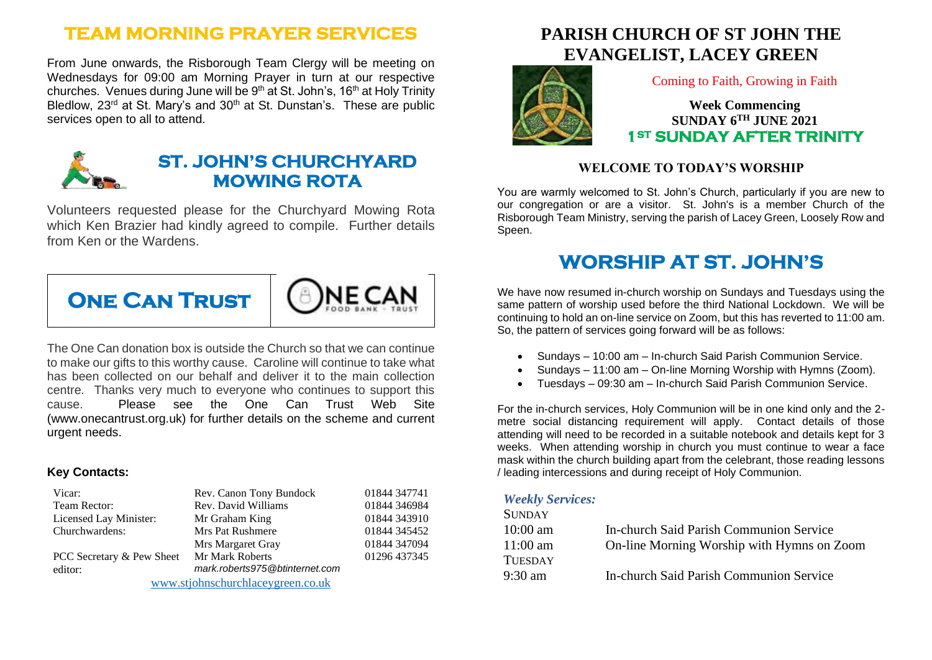### **TEAM MORNING PRAYER SERVICES**

From June onwards, the Risborough Team Clergy will be meeting on Wednesdays for 09:00 am Morning Prayer in turn at our respective churches. Venues during June will be 9<sup>th</sup> at St. John's, 16<sup>th</sup> at Holy Trinity Bledlow, 23<sup>rd</sup> at St. Mary's and 30<sup>th</sup> at St. Dunstan's. These are public services open to all to attend.



### **ST. JOHN'S CHURCHYARD MOWING ROTA**

Volunteers requested please for the Churchyard Mowing Rota which Ken Brazier had kindly agreed to compile. Further details from Ken or the Wardens.



The One Can donation box is outside the Church so that we can continue to make our gifts to this worthy cause. Caroline will continue to take what has been collected on our behalf and deliver it to the main collection centre. Thanks very much to everyone who continues to support this cause. Please see the One Can Trust Web Site (www.onecantrust.org.uk) for further details on the scheme and current urgent needs.

#### **Key Contacts:**

| Vicar:                            | Rev. Canon Tony Bundock        | 01844 347741 |
|-----------------------------------|--------------------------------|--------------|
| Team Rector:                      | Rev. David Williams            | 01844 346984 |
| Licensed Lay Minister:            | Mr Graham King                 | 01844 343910 |
| Churchwardens:                    | Mrs Pat Rushmere               | 01844 345452 |
|                                   | Mrs Margaret Gray              | 01844 347094 |
| PCC Secretary & Pew Sheet         | <b>Mr Mark Roberts</b>         | 01296 437345 |
| editor:                           | mark.roberts975@btinternet.com |              |
| www.stjohnschurchlaceygreen.co.uk |                                |              |

# **PARISH CHURCH OF ST JOHN THE EVANGELIST, LACEY GREEN**



Coming to Faith, Growing in Faith

**Week Commencing SUNDAY 6 TH JUNE 2021 1ST SUNDAY AFTER TRINITY** 

#### **WELCOME TO TODAY'S WORSHIP**

You are warmly welcomed to St. John's Church, particularly if you are new to our congregation or are a visitor. St. John's is a member Church of the Risborough Team Ministry, serving the parish of Lacey Green, Loosely Row and Speen.

## **WORSHIP AT ST. JOHN'S**

We have now resumed in-church worship on Sundays and Tuesdays using the same pattern of worship used before the third National Lockdown. We will be continuing to hold an on-line service on Zoom, but this has reverted to 11:00 am. So, the pattern of services going forward will be as follows:

- Sundays 10:00 am In-church Said Parish Communion Service.
- Sundays 11:00 am On-line Morning Worship with Hymns (Zoom).
- Tuesdays 09:30 am In-church Said Parish Communion Service.

For the in-church services, Holy Communion will be in one kind only and the 2 metre social distancing requirement will apply. Contact details of those attending will need to be recorded in a suitable notebook and details kept for 3 weeks. When attending worship in church you must continue to wear a face mask within the church building apart from the celebrant, those reading lessons / leading intercessions and during receipt of Holy Communion.

#### *Weekly Services:*

| On-line Morning Worship with Hymns on Zoom |
|--------------------------------------------|
|                                            |
|                                            |
|                                            |